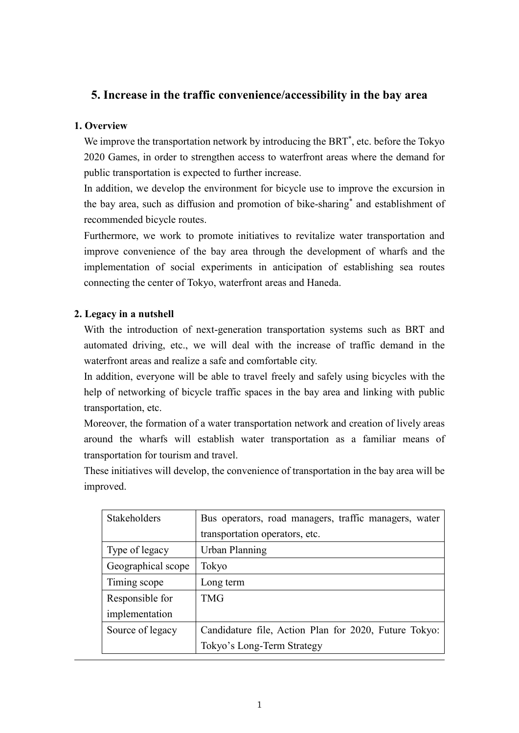# **5. Increase in the traffic convenience/accessibility in the bay area**

#### **1. Overview**

We improve the transportation network by introducing the BRT<sup>\*</sup>, etc. before the Tokyo 2020 Games, in order to strengthen access to waterfront areas where the demand for public transportation is expected to further increase.

In addition, we develop the environment for bicycle use to improve the excursion in the bay area, such as diffusion and promotion of bike-sharing\* and establishment of recommended bicycle routes.

Furthermore, we work to promote initiatives to revitalize water transportation and improve convenience of the bay area through the development of wharfs and the implementation of social experiments in anticipation of establishing sea routes connecting the center of Tokyo, waterfront areas and Haneda.

### **2. Legacy in a nutshell**

With the introduction of next-generation transportation systems such as BRT and automated driving, etc., we will deal with the increase of traffic demand in the waterfront areas and realize a safe and comfortable city.

In addition, everyone will be able to travel freely and safely using bicycles with the help of networking of bicycle traffic spaces in the bay area and linking with public transportation, etc.

Moreover, the formation of a water transportation network and creation of lively areas around the wharfs will establish water transportation as a familiar means of transportation for tourism and travel.

These initiatives will develop, the convenience of transportation in the bay area will be improved.

| Stakeholders       | Bus operators, road managers, traffic managers, water |
|--------------------|-------------------------------------------------------|
|                    | transportation operators, etc.                        |
| Type of legacy     | <b>Urban Planning</b>                                 |
| Geographical scope | Tokyo                                                 |
| Timing scope       | Long term                                             |
| Responsible for    | <b>TMG</b>                                            |
| implementation     |                                                       |
| Source of legacy   | Candidature file, Action Plan for 2020, Future Tokyo: |
|                    | Tokyo's Long-Term Strategy                            |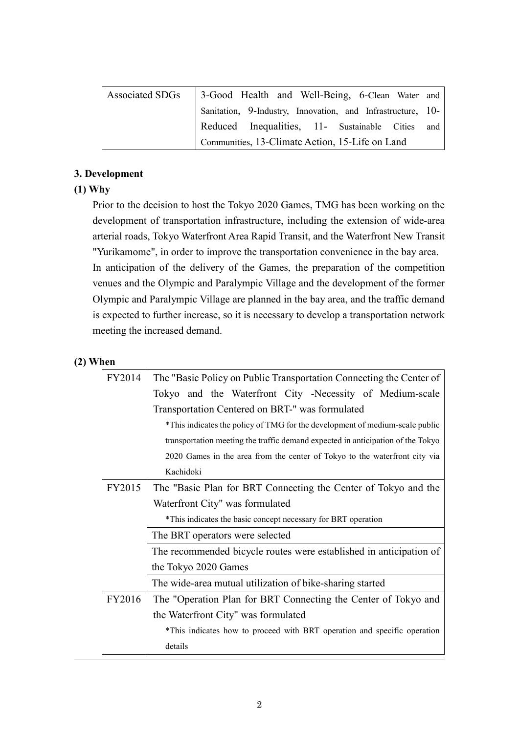| Associated SDGs   3-Good Health and Well-Being, 6-Clean Water and |  |
|-------------------------------------------------------------------|--|
| Sanitation, 9-Industry, Innovation, and Infrastructure, 10-       |  |
| Reduced Inequalities, 11- Sustainable Cities and                  |  |
| Communities, 13-Climate Action, 15-Life on Land                   |  |

## **3. Development**

## **(1) Why**

Prior to the decision to host the Tokyo 2020 Games, TMG has been working on the development of transportation infrastructure, including the extension of wide-area arterial roads, Tokyo Waterfront Area Rapid Transit, and the Waterfront New Transit "Yurikamome", in order to improve the transportation convenience in the bay area. In anticipation of the delivery of the Games, the preparation of the competition venues and the Olympic and Paralympic Village and the development of the former Olympic and Paralympic Village are planned in the bay area, and the traffic demand is expected to further increase, so it is necessary to develop a transportation network meeting the increased demand.

## **(2) When**

| FY2014 | The "Basic Policy on Public Transportation Connecting the Center of             |
|--------|---------------------------------------------------------------------------------|
|        | Tokyo and the Waterfront City -Necessity of Medium-scale                        |
|        | Transportation Centered on BRT-" was formulated                                 |
|        | *This indicates the policy of TMG for the development of medium-scale public    |
|        | transportation meeting the traffic demand expected in anticipation of the Tokyo |
|        | 2020 Games in the area from the center of Tokyo to the waterfront city via      |
|        | Kachidoki                                                                       |
| FY2015 | The "Basic Plan for BRT Connecting the Center of Tokyo and the                  |
|        | Waterfront City" was formulated                                                 |
|        | *This indicates the basic concept necessary for BRT operation                   |
|        | The BRT operators were selected                                                 |
|        | The recommended bicycle routes were established in anticipation of              |
|        | the Tokyo 2020 Games                                                            |
|        | The wide-area mutual utilization of bike-sharing started                        |
| FY2016 | The "Operation Plan for BRT Connecting the Center of Tokyo and                  |
|        | the Waterfront City" was formulated                                             |
|        | *This indicates how to proceed with BRT operation and specific operation        |
|        | details                                                                         |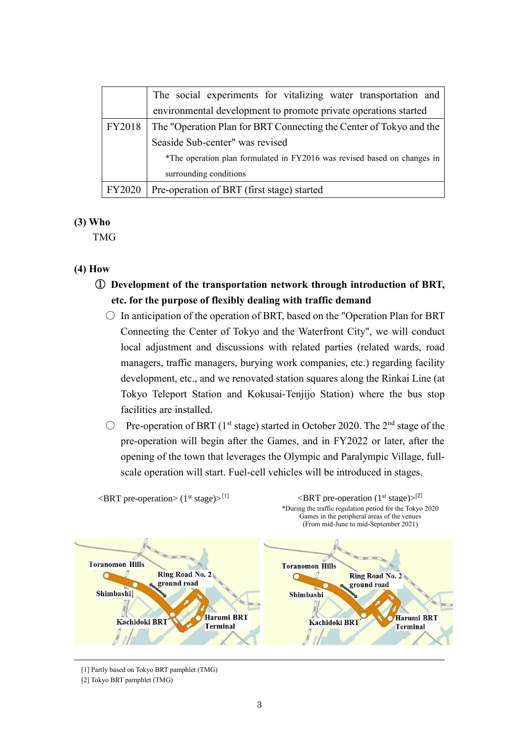|               | The social experiments for vitalizing water transportation and           |
|---------------|--------------------------------------------------------------------------|
|               | environmental development to promote private operations started          |
| FY2018        | The "Operation Plan for BRT Connecting the Center of Tokyo and the       |
|               | Seaside Sub-center" was revised                                          |
|               | *The operation plan formulated in FY2016 was revised based on changes in |
|               | surrounding conditions                                                   |
| <b>FY2020</b> | Pre-operation of BRT (first stage) started                               |

#### **(3) Who**

TMG

### **(4) How**

- ① **Development of the transportation network through introduction of BRT, etc. for the purpose of flexibly dealing with traffic demand**
	- $\circ$  In anticipation of the operation of BRT, based on the "Operation Plan for BRT Connecting the Center of Tokyo and the Waterfront City", we will conduct local adjustment and discussions with related parties (related wards, road managers, traffic managers, burying work companies, etc.) regarding facility development, etc., and we renovated station squares along the Rinkai Line (at Tokyo Teleport Station and Kokusai-Tenjijo Station) where the bus stop facilities are installed.
	- $\degree$  Pre-operation of BRT (1<sup>st</sup> stage) started in October 2020. The 2<sup>nd</sup> stage of the pre-operation will begin after the Games, and in FY2022 or later, after the opening of the town that leverages the Olympic and Paralympic Village, fullscale operation will start. Fuel-cell vehicles will be introduced in stages.



[1] Partly based on Tokyo BRT pamphlet (TMG)

<sup>[2]</sup> Tokyo BRT pamphlet (TMG)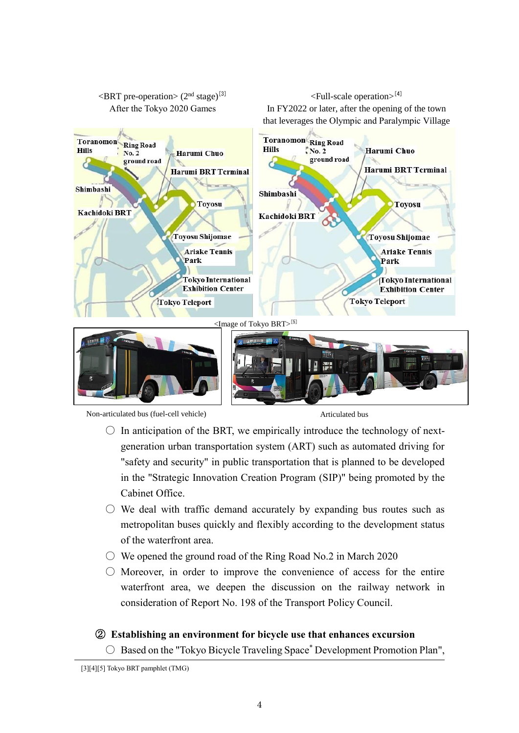



 $\leq$ BRT pre-operation $>$  (2<sup>nd</sup> stage)<sup>[3]</sup>

 $\le$ Full-scale operation $>^{[4]}$ 

- $\circ$  In anticipation of the BRT, we empirically introduce the technology of nextgeneration urban transportation system (ART) such as automated driving for "safety and security" in public transportation that is planned to be developed in the "Strategic Innovation Creation Program (SIP)" being promoted by the Cabinet Office.
- $\circ$  We deal with traffic demand accurately by expanding bus routes such as metropolitan buses quickly and flexibly according to the development status of the waterfront area.
- $\circ$  We opened the ground road of the Ring Road No.2 in March 2020
- $\bigcirc$  Moreover, in order to improve the convenience of access for the entire waterfront area, we deepen the discussion on the railway network in consideration of Report No. 198 of the Transport Policy Council.

### ② **Establishing an environment for bicycle use that enhances excursion**

 $\bigcirc$  Based on the "Tokyo Bicycle Traveling Space" Development Promotion Plan",

<sup>[3][4][5]</sup> Tokyo BRT pamphlet (TMG)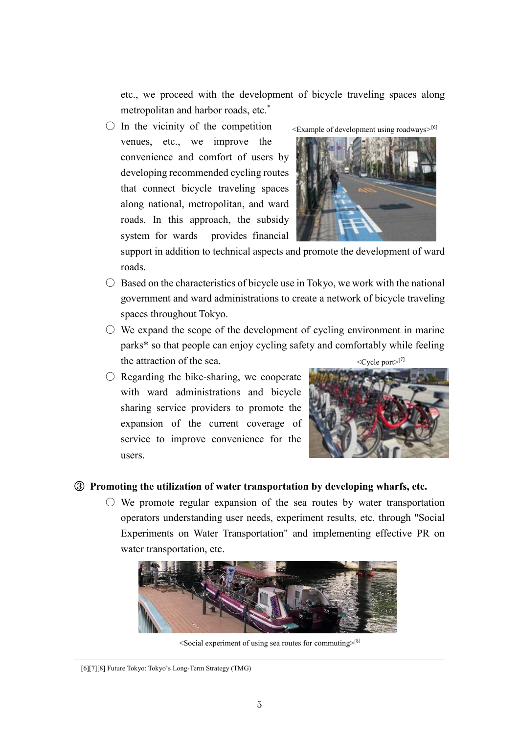etc., we proceed with the development of bicycle traveling spaces along metropolitan and harbor roads, etc. \*

 $\bigcirc$  In the vicinity of the competition venues, etc., we improve the convenience and comfort of users by developing recommended cycling routes that connect bicycle traveling spaces along national, metropolitan, and ward roads. In this approach, the subsidy system for wards provides financial



support in addition to technical aspects and promote the development of ward roads.

- $\circ$  Based on the characteristics of bicycle use in Tokyo, we work with the national government and ward administrations to create a network of bicycle traveling spaces throughout Tokyo.
- $\circ$  We expand the scope of the development of cycling environment in marine parks\* so that people can enjoy cycling safety and comfortably while feeling the attraction of the sea. <Cycle port>[7]
- $\bigcirc$  Regarding the bike-sharing, we cooperate with ward administrations and bicycle sharing service providers to promote the expansion of the current coverage of service to improve convenience for the users.



#### ③ **Promoting the utilization of water transportation by developing wharfs, etc.**

 $\circ$  We promote regular expansion of the sea routes by water transportation operators understanding user needs, experiment results, etc. through "Social Experiments on Water Transportation" and implementing effective PR on water transportation, etc.



 $\leq$ Social experiment of using sea routes for commuting $\geq^{8}$ ]

<sup>[6][7][8]</sup> Future Tokyo: Tokyo's Long-Term Strategy (TMG)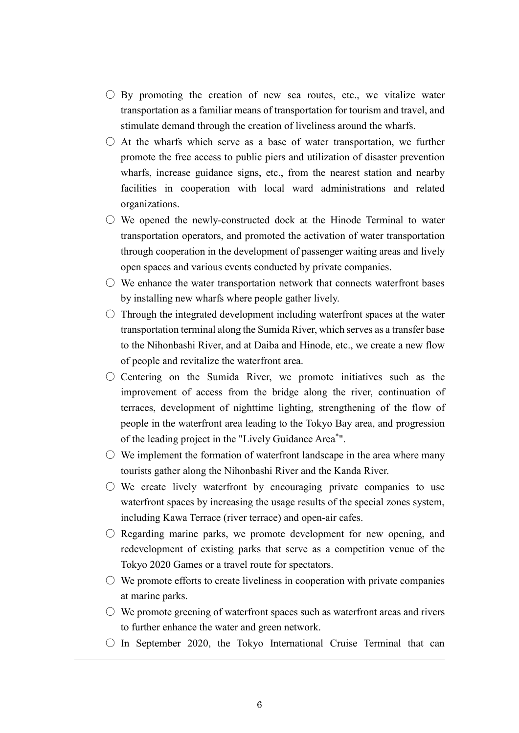- $\bigcirc$  By promoting the creation of new sea routes, etc., we vitalize water transportation as a familiar means of transportation for tourism and travel, and stimulate demand through the creation of liveliness around the wharfs.
- $\circ$  At the wharfs which serve as a base of water transportation, we further promote the free access to public piers and utilization of disaster prevention wharfs, increase guidance signs, etc., from the nearest station and nearby facilities in cooperation with local ward administrations and related organizations.
- $\bigcirc$  We opened the newly-constructed dock at the Hinode Terminal to water transportation operators, and promoted the activation of water transportation through cooperation in the development of passenger waiting areas and lively open spaces and various events conducted by private companies.
- $\bigcirc$  We enhance the water transportation network that connects waterfront bases by installing new wharfs where people gather lively.
- $\circ$  Through the integrated development including waterfront spaces at the water transportation terminal along the Sumida River, which serves as a transfer base to the Nihonbashi River, and at Daiba and Hinode, etc., we create a new flow of people and revitalize the waterfront area.
- $\circ$  Centering on the Sumida River, we promote initiatives such as the improvement of access from the bridge along the river, continuation of terraces, development of nighttime lighting, strengthening of the flow of people in the waterfront area leading to the Tokyo Bay area, and progression of the leading project in the "Lively Guidance Area\* ".
- $\circ$  We implement the formation of waterfront landscape in the area where many tourists gather along the Nihonbashi River and the Kanda River.
- $\circ$  We create lively waterfront by encouraging private companies to use waterfront spaces by increasing the usage results of the special zones system, including Kawa Terrace (river terrace) and open-air cafes.
- $\circ$  Regarding marine parks, we promote development for new opening, and redevelopment of existing parks that serve as a competition venue of the Tokyo 2020 Games or a travel route for spectators.
- $\circlearrowright$  We promote efforts to create liveliness in cooperation with private companies at marine parks.
- $\circ$  We promote greening of waterfront spaces such as waterfront areas and rivers to further enhance the water and green network.
- $\circ$  In September 2020, the Tokyo International Cruise Terminal that can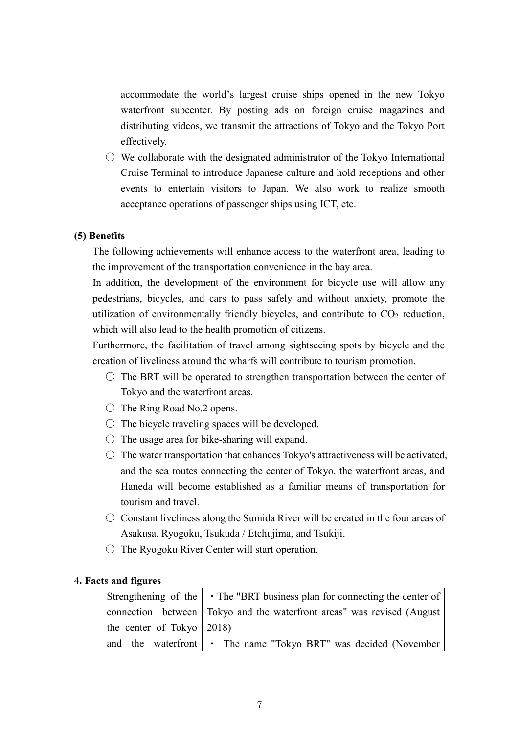accommodate the world's largest cruise ships opened in the new Tokyo waterfront subcenter. By posting ads on foreign cruise magazines and distributing videos, we transmit the attractions of Tokyo and the Tokyo Port effectively.

 $\circlearrowright$  We collaborate with the designated administrator of the Tokyo International Cruise Terminal to introduce Japanese culture and hold receptions and other events to entertain visitors to Japan. We also work to realize smooth acceptance operations of passenger ships using ICT, etc.

#### **(5) Benefits**

The following achievements will enhance access to the waterfront area, leading to the improvement of the transportation convenience in the bay area.

In addition, the development of the environment for bicycle use will allow any pedestrians, bicycles, and cars to pass safely and without anxiety, promote the utilization of environmentally friendly bicycles, and contribute to  $CO<sub>2</sub>$  reduction, which will also lead to the health promotion of citizens.

Furthermore, the facilitation of travel among sightseeing spots by bicycle and the creation of liveliness around the wharfs will contribute to tourism promotion.

- $\circ$  The BRT will be operated to strengthen transportation between the center of Tokyo and the waterfront areas.
- $\bigcirc$  The Ring Road No.2 opens.
- $\circ$  The bicycle traveling spaces will be developed.
- $\circ$  The usage area for bike-sharing will expand.
- $\circ$  The water transportation that enhances Tokyo's attractiveness will be activated, and the sea routes connecting the center of Tokyo, the waterfront areas, and Haneda will become established as a familiar means of transportation for tourism and travel.
- $\circlearrowright$  Constant liveliness along the Sumida River will be created in the four areas of Asakusa, Ryogoku, Tsukuda / Etchujima, and Tsukiji.
- The Ryogoku River Center will start operation.

#### **4. Facts and figures**

|                                          | Strengthening of the   • The "BRT business plan for connecting the center of |
|------------------------------------------|------------------------------------------------------------------------------|
|                                          | connection between Tokyo and the waterfront areas" was revised (August       |
| the center of Tokyo $\vert 2018 \rangle$ |                                                                              |
|                                          | and the waterfront $\cdot$ The name "Tokyo BRT" was decided (November        |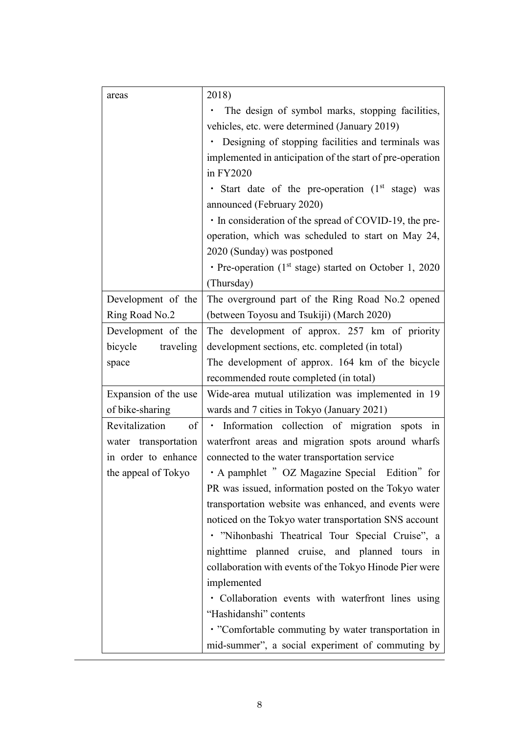| areas                | 2018)                                                        |
|----------------------|--------------------------------------------------------------|
|                      | The design of symbol marks, stopping facilities,             |
|                      | vehicles, etc. were determined (January 2019)                |
|                      | Designing of stopping facilities and terminals was           |
|                      | implemented in anticipation of the start of pre-operation    |
|                      | in FY2020                                                    |
|                      | · Start date of the pre-operation (1st stage) was            |
|                      | announced (February 2020)                                    |
|                      | • In consideration of the spread of COVID-19, the pre-       |
|                      | operation, which was scheduled to start on May 24,           |
|                      | 2020 (Sunday) was postponed                                  |
|                      | • Pre-operation ( $1st$ stage) started on October 1, 2020    |
|                      | (Thursday)                                                   |
| Development of the   | The overground part of the Ring Road No.2 opened             |
| Ring Road No.2       | (between Toyosu and Tsukiji) (March 2020)                    |
| Development of the   | The development of approx. 257 km of priority                |
| bicycle traveling    | development sections, etc. completed (in total)              |
| space                | The development of approx. 164 km of the bicycle             |
|                      | recommended route completed (in total)                       |
| Expansion of the use | Wide-area mutual utilization was implemented in 19           |
| of bike-sharing      | wards and 7 cities in Tokyo (January 2021)                   |
| Revitalization<br>of | Information collection of migration spots<br>$\bullet$<br>in |
| water transportation | waterfront areas and migration spots around wharfs           |
| in order to enhance  | connected to the water transportation service                |
| the appeal of Tokyo  | · A pamphlet " OZ Magazine Special Edition" for              |
|                      | PR was issued, information posted on the Tokyo water         |
|                      | transportation website was enhanced, and events were         |
|                      | noticed on the Tokyo water transportation SNS account        |
|                      | · "Nihonbashi Theatrical Tour Special Cruise", a             |
|                      | nighttime planned cruise, and planned tours in               |
|                      | collaboration with events of the Tokyo Hinode Pier were      |
|                      | implemented                                                  |
|                      | • Collaboration events with waterfront lines using           |
|                      | "Hashidanshi" contents                                       |
|                      | • "Comfortable commuting by water transportation in          |
|                      | mid-summer", a social experiment of commuting by             |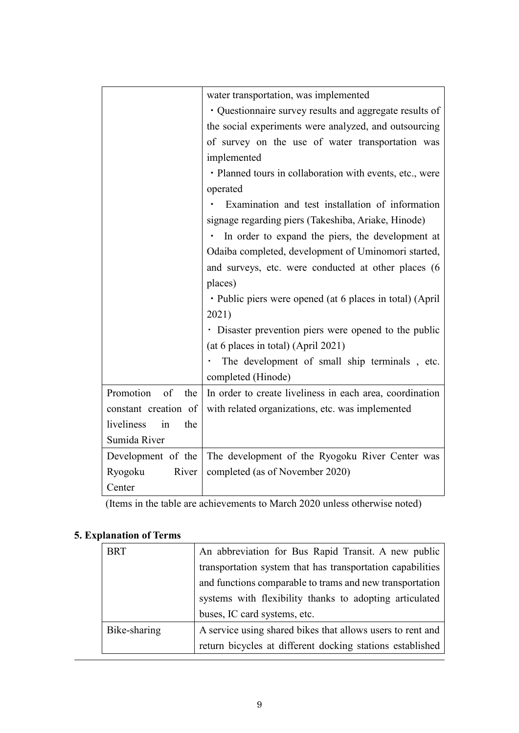|                         | water transportation, was implemented                         |
|-------------------------|---------------------------------------------------------------|
|                         | · Questionnaire survey results and aggregate results of       |
|                         | the social experiments were analyzed, and outsourcing         |
|                         | of survey on the use of water transportation was              |
|                         | implemented                                                   |
|                         | · Planned tours in collaboration with events, etc., were      |
|                         | operated                                                      |
|                         | Examination and test installation of information              |
|                         | signage regarding piers (Takeshiba, Ariake, Hinode)           |
|                         | In order to expand the piers, the development at<br>$\bullet$ |
|                         | Odaiba completed, development of Uminomori started,           |
|                         | and surveys, etc. were conducted at other places (6           |
|                         | places)                                                       |
|                         | · Public piers were opened (at 6 places in total) (April      |
|                         | 2021)                                                         |
|                         | · Disaster prevention piers were opened to the public         |
|                         | (at 6 places in total) (April 2021)                           |
|                         | The development of small ship terminals, etc.                 |
|                         | completed (Hinode)                                            |
| Promotion<br>of the     | In order to create liveliness in each area, coordination      |
| constant creation of    | with related organizations, etc. was implemented              |
| liveliness<br>the<br>in |                                                               |
| Sumida River            |                                                               |
| Development of the      | The development of the Ryogoku River Center was               |
| River<br>Ryogoku        | completed (as of November 2020)                               |
| Center                  |                                                               |

(Items in the table are achievements to March 2020 unless otherwise noted)

# **5. Explanation of Terms**

| <b>BRT</b>   | An abbreviation for Bus Rapid Transit. A new public        |
|--------------|------------------------------------------------------------|
|              | transportation system that has transportation capabilities |
|              | and functions comparable to trams and new transportation   |
|              | systems with flexibility thanks to adopting articulated    |
|              | buses, IC card systems, etc.                               |
| Bike-sharing | A service using shared bikes that allows users to rent and |
|              | return bicycles at different docking stations established  |